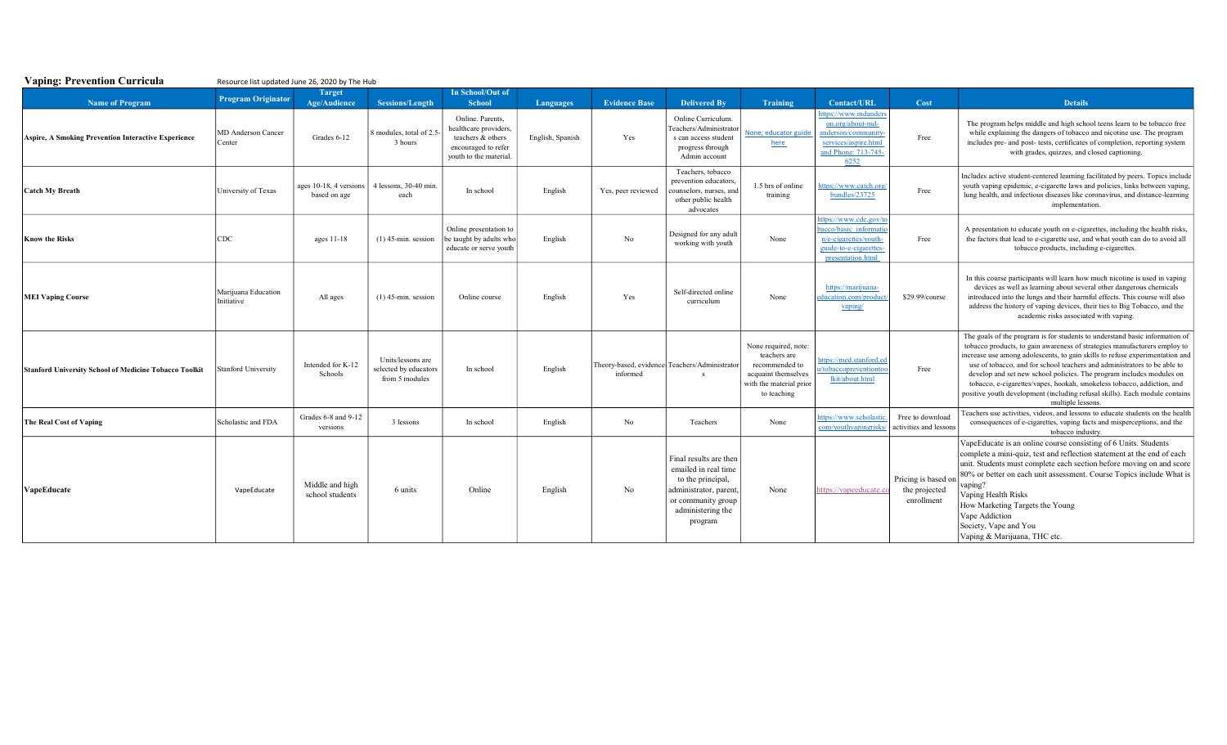| <b>Vaping: Prevention Curricula</b><br>Resource list updated June 26, 2020 by The Hub |                                   |                                        |                                                              |                                                                                                                 |                  |                      |                                                                                                                                                     |                                                                                                                         |                                                                                                                         |                                                    |                                                                                                                                                                                                                                                                                                                                                                                                                                                                                                                                                                            |  |
|---------------------------------------------------------------------------------------|-----------------------------------|----------------------------------------|--------------------------------------------------------------|-----------------------------------------------------------------------------------------------------------------|------------------|----------------------|-----------------------------------------------------------------------------------------------------------------------------------------------------|-------------------------------------------------------------------------------------------------------------------------|-------------------------------------------------------------------------------------------------------------------------|----------------------------------------------------|----------------------------------------------------------------------------------------------------------------------------------------------------------------------------------------------------------------------------------------------------------------------------------------------------------------------------------------------------------------------------------------------------------------------------------------------------------------------------------------------------------------------------------------------------------------------------|--|
|                                                                                       | <b>Program Originator</b>         | <b>Target</b>                          |                                                              | In School/Out of                                                                                                |                  |                      |                                                                                                                                                     |                                                                                                                         |                                                                                                                         |                                                    |                                                                                                                                                                                                                                                                                                                                                                                                                                                                                                                                                                            |  |
| <b>Name of Program</b>                                                                |                                   | <b>Age/Audience</b>                    | Sessions/Length                                              | <b>School</b>                                                                                                   | <b>Languages</b> | <b>Evidence Base</b> | <b>Delivered By</b>                                                                                                                                 | Training                                                                                                                | <b>Contact/URL</b>                                                                                                      | Cost                                               | <b>Details</b>                                                                                                                                                                                                                                                                                                                                                                                                                                                                                                                                                             |  |
| <b>Aspire, A Smoking Prevention Interactive Experience</b>                            | MD Anderson Cancer<br>Center      | Grades 6-12                            | 8 modules, total of 2.5<br>3 hours                           | Online, Parents,<br>healthcare providers,<br>teachers & others<br>encouraged to refer<br>youth to the material. | English, Spanish | Yes                  | Online Curriculum.<br>Teachers/Administrator<br>s can access student<br>progress through<br>Admin account                                           | None; educator guide<br>here                                                                                            | nttps://www.mdanders<br>on.org/about-md-<br>anderson/community<br>services/aspire.html<br>and Phone: 713-745-<br>6252   | Free                                               | The program helps middle and high school teens learn to be tobacco free<br>while explaining the dangers of tobacco and nicotine use. The program<br>includes pre- and post- tests, certificates of completion, reporting system<br>with grades, quizzes, and closed captioning.                                                                                                                                                                                                                                                                                            |  |
| <b>Catch My Breath</b>                                                                | University of Texas               | ages 10-18, 4 versions<br>based on age | 4 lessons, 30-40 min.<br>each                                | In school                                                                                                       | English          | Yes, peer reviewed   | Teachers, tobacco<br>prevention educators.<br>counselors, nurses, and<br>other public health<br>advocates                                           | 1.5 hrs of online<br>training                                                                                           | ttps://www.catch.org<br>bundles/23725                                                                                   | Free                                               | Includes active student-centered learning facilitated by peers. Topics include<br>youth vaping epidemic, e-cigarette laws and policies, links between vaping,<br>lung health, and infectious diseases like coronavirus, and distance-learning<br>implementation.                                                                                                                                                                                                                                                                                                           |  |
| <b>Know the Risks</b>                                                                 | <b>CDC</b>                        | ages $11-18$                           | $(1)$ 45-min. session                                        | Online presentation to<br>be taught by adults who<br>educate or serve youth                                     | English          | No                   | Designed for any adult<br>working with youth                                                                                                        | None                                                                                                                    | attps://www.cdc.gov/to<br>bacco/basic informati<br>n/e-cigarettes/youth-<br>guide-to-e-cigarettes-<br>presentation.html | Free                                               | A presentation to educate youth on e-cigarettes, including the health risks,<br>the factors that lead to e-cigarette use, and what youth can do to avoid all<br>tobacco products, including e-cigarettes.                                                                                                                                                                                                                                                                                                                                                                  |  |
| <b>MEI Vaping Course</b>                                                              | Marijuana Education<br>Initiative | All ages                               | $(1)$ 45-min. session                                        | Online course                                                                                                   | English          | Yes                  | Self-directed online<br>curriculum                                                                                                                  | None                                                                                                                    | https://marijuana-<br>education.com/produc<br>vaping/                                                                   | \$29.99/course                                     | In this course participants will learn how much nicotine is used in vaping<br>devices as well as learning about several other dangerous chemicals<br>introduced into the lungs and their harmful effects. This course will also<br>address the history of vaping devices, their ties to Big Tobacco, and the<br>academic risks associated with vaping.                                                                                                                                                                                                                     |  |
| <b>Stanford University School of Medicine Tobacco Toolkit</b>                         | <b>Stanford University</b>        | Intended for K-12<br>Schools           | Units/lessons are<br>selected by educators<br>from 5 modules | In school                                                                                                       | English          | informed             | Theory-based, evidence Teachers/Administrator<br>- S                                                                                                | None required, note:<br>teachers are<br>recommended to<br>acquaint themselves<br>with the material prior<br>to teaching | attps://med.stanford.ed<br>a/tobaccopreventionto<br>lkit/about.html                                                     | Free                                               | The goals of the program is for students to understand basic information of<br>tobacco products, to gain awareness of strategies manufacturers employ to<br>increase use among adolescents, to gain skills to refuse experimentation and<br>use of tobacco, and for school teachers and administrators to be able to<br>develop and set new school policies. The program includes modules on<br>tobacco, e-cigarettes/vapes, hookah, smokeless tobacco, addiction, and<br>positive youth development (including refusal skills). Each module contains<br>multiple lessons. |  |
| <b>The Real Cost of Vaping</b>                                                        | Scholastic and FDA                | Grades 6-8 and 9-12<br>versions        | 3 lessons                                                    | In school                                                                                                       | English          | No                   | Teachers                                                                                                                                            | None                                                                                                                    | attps://www.scholastic<br>com/youthvapingrisks/                                                                         | Free to download<br>activities and lessons         | Teachers use activities, videos, and lessons to educate students on the health<br>consequences of e-cigarettes, vaping facts and misperceptions, and the<br>tobacco industry.                                                                                                                                                                                                                                                                                                                                                                                              |  |
| VapeEducate                                                                           | VapeEducate                       | Middle and high<br>school students     | 6 units                                                      | Online                                                                                                          | English          | No                   | Final results are then<br>emailed in real time<br>to the principal,<br>administrator, parent,<br>or community group<br>administering the<br>program | None                                                                                                                    | https://vapeeducate.c                                                                                                   | Pricing is based on<br>the projected<br>enrollment | VapeEducate is an online course consisting of 6 Units. Students<br>complete a mini-quiz, test and reflection statement at the end of each<br>unit. Students must complete each section before moving on and score<br>80% or better on each unit assessment. Course Topics include What is<br>vaping?<br>Vaping Health Risks<br>How Marketing Targets the Young<br>Vape Addiction<br>Society, Vape and You<br>Vaping & Marijuana, THC etc.                                                                                                                                  |  |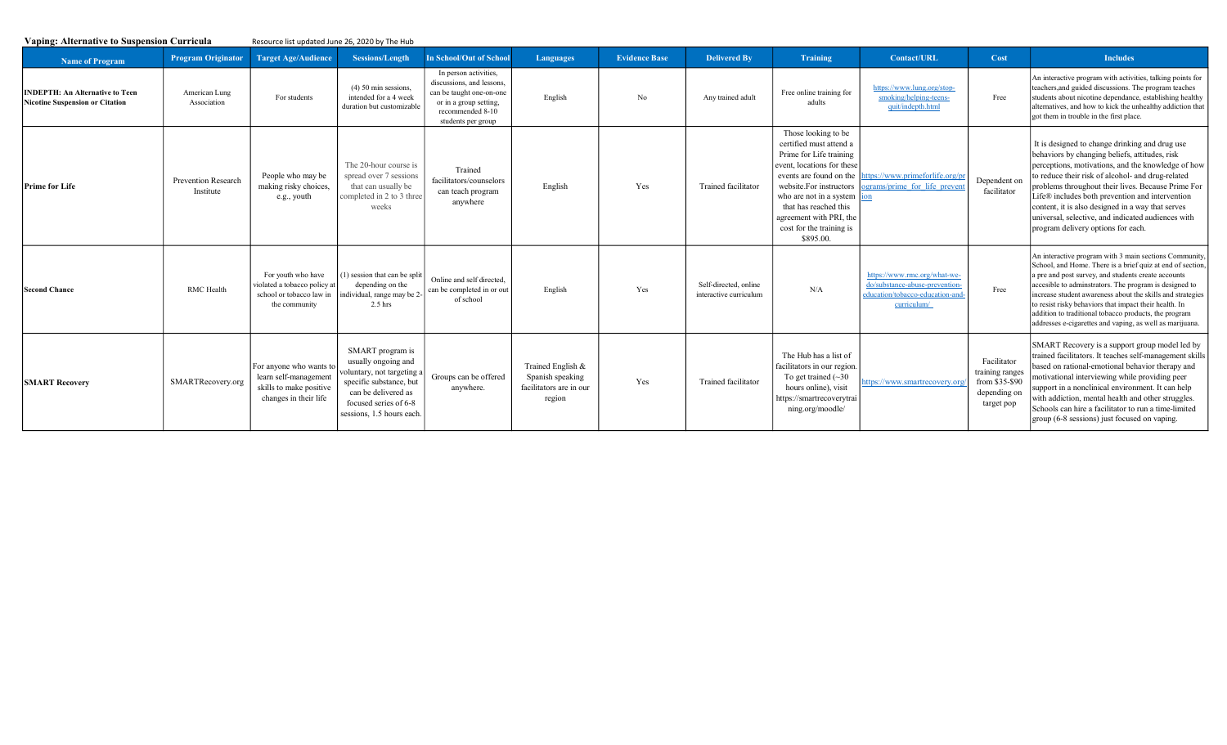| <b>Vaping: Alternative to Suspension Curricula</b>                        |                                         | Resource list updated June 26, 2020 by The Hub                                                       |                                                                                                                                                                              |                                                                                                                                                    |                                                                            |                      |                                                 |                                                                                                                                                                                                                                                                                       |                                                                                                                   |                                                                                |                                                                                                                                                                                                                                                                                                                                                                                                                                                                                    |
|---------------------------------------------------------------------------|-----------------------------------------|------------------------------------------------------------------------------------------------------|------------------------------------------------------------------------------------------------------------------------------------------------------------------------------|----------------------------------------------------------------------------------------------------------------------------------------------------|----------------------------------------------------------------------------|----------------------|-------------------------------------------------|---------------------------------------------------------------------------------------------------------------------------------------------------------------------------------------------------------------------------------------------------------------------------------------|-------------------------------------------------------------------------------------------------------------------|--------------------------------------------------------------------------------|------------------------------------------------------------------------------------------------------------------------------------------------------------------------------------------------------------------------------------------------------------------------------------------------------------------------------------------------------------------------------------------------------------------------------------------------------------------------------------|
| <b>Name of Program</b>                                                    | <b>Program Originator</b>               | <b>Target Age/Audience</b>                                                                           | Sessions/Length                                                                                                                                                              | <b>In School/Out of School</b>                                                                                                                     | <b>Languages</b>                                                           | <b>Evidence Base</b> | <b>Delivered By</b>                             | Training                                                                                                                                                                                                                                                                              | <b>Contact/URL</b>                                                                                                | Cost                                                                           | <b>Includes</b>                                                                                                                                                                                                                                                                                                                                                                                                                                                                    |
| <b>INDEPTH: An Alternative to Teen</b><br>Nicotine Suspension or Citation | American Lung<br>Association            | For students                                                                                         | $(4)$ 50 min sessions.<br>intended for a 4 week<br>duration but customizable                                                                                                 | In person activities,<br>discussions, and lessons.<br>can be taught one-on-one<br>or in a group setting,<br>recommended 8-10<br>students per group | English                                                                    | No                   | Any trained adult                               | Free online training for<br>adults                                                                                                                                                                                                                                                    | https://www.lung.org/stop-<br>smoking/helping-teens-<br>quit/indepth.html                                         | Free                                                                           | An interactive program with activities, talking points for<br>teachers, and guided discussions. The program teaches<br>students about nicotine dependance, establishing healthy<br>alternatives, and how to kick the unhealthy addiction that<br>got them in trouble in the first place.                                                                                                                                                                                           |
| <b>Prime for Life</b>                                                     | <b>Prevention Research</b><br>Institute | People who may be<br>making risky choices,<br>e.g., youth                                            | The 20-hour course is<br>spread over 7 sessions<br>that can usually be<br>completed in 2 to 3 three<br>weeks                                                                 | Trained<br>facilitators/counselors<br>can teach program<br>anywhere                                                                                | English                                                                    | Yes                  | Trained facilitator                             | Those looking to be<br>certified must attend a<br>Prime for Life training<br>event, locations for these<br>events are found on the<br>website.For instructors<br>who are not in a system<br>that has reached this<br>agreement with PRI, the<br>cost for the training is<br>\$895.00. | ttps://www.primeforlife.org/pi<br>ograms/prime for life preven                                                    | Dependent on<br>facilitator                                                    | It is designed to change drinking and drug use<br>behaviors by changing beliefs, attitudes, risk<br>perceptions, motivations, and the knowledge of how<br>to reduce their risk of alcohol- and drug-related<br>problems throughout their lives. Because Prime For<br>Life® includes both prevention and intervention<br>content, it is also designed in a way that serves<br>universal, selective, and indicated audiences with<br>program delivery options for each.              |
| <b>Second Chance</b>                                                      | <b>RMC</b> Health                       | For youth who have<br>violated a tobacco policy at<br>school or tobacco law in<br>the community      | (1) session that can be split<br>depending on the<br>individual, range may be 2-<br>$2.5$ hrs                                                                                | Online and self directed.<br>can be completed in or out<br>of school                                                                               | English                                                                    | Yes                  | Self-directed, online<br>interactive curriculum | N/A                                                                                                                                                                                                                                                                                   | https://www.rmc.org/what-we-<br>do/substance-abuse-prevention-<br>education/tobacco-education-and-<br>curriculum/ | Free                                                                           | An interactive program with 3 main sections Community,<br>School, and Home. There is a brief quiz at end of section,<br>a pre and post survey, and students create accounts<br>accesible to adminstrators. The program is designed to<br>increase student awareness about the skills and strategies<br>to resist risky behaviors that impact their health. In<br>addition to traditional tobacco products, the program<br>addresses e-cigarettes and vaping, as well as marijuana. |
| <b>SMART Recovery</b>                                                     | SMARTRecovery.org                       | For anyone who wants to<br>learn self-management<br>skills to make positive<br>changes in their life | SMART program is<br>usually ongoing and<br>oluntary, not targeting a<br>specific substance, but<br>can be delivered as<br>focused series of 6-8<br>sessions, 1.5 hours each. | Groups can be offered<br>anywhere.                                                                                                                 | Trained English &<br>Spanish speaking<br>facilitators are in our<br>region | Yes                  | Trained facilitator                             | The Hub has a list of<br>facilitators in our region<br>To get trained $(\sim 30$<br>hours online), visit<br>https://smartrecoverytrai<br>ning.org/moodle/                                                                                                                             | ittps://www.smartrecovery.or                                                                                      | Facilitator<br>training ranges<br>from \$35-\$90<br>depending on<br>target pop | SMART Recovery is a support group model led by<br>trained facilitators. It teaches self-management skills<br>based on rational-emotional behavior therapy and<br>motivational interviewing while providing peer<br>support in a nonclinical environment. It can help<br>with addiction, mental health and other struggles.<br>Schools can hire a facilitator to run a time-limited<br>group (6-8 sessions) just focused on vaping.                                                 |